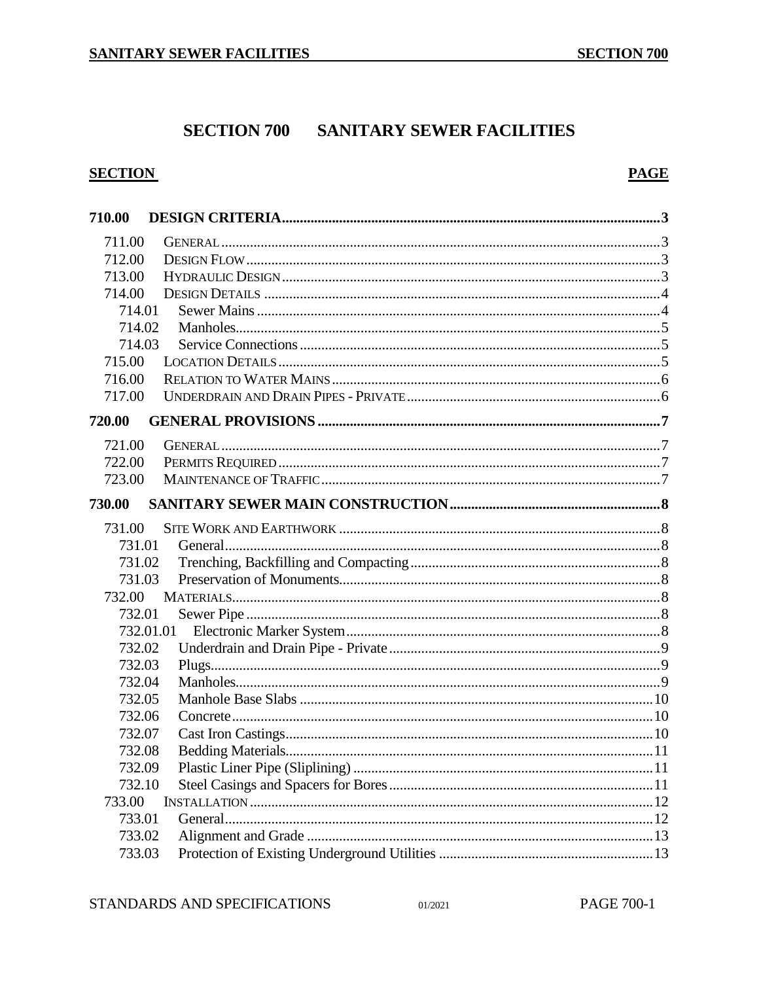# **SECTION 700 SANITARY SEWER FACILITIES**

# **SECTION**

# **PAGE**

| 710.00    |  |
|-----------|--|
| 711.00    |  |
| 712.00    |  |
| 713.00    |  |
| 714.00    |  |
| 714.01    |  |
| 714.02    |  |
| 714.03    |  |
| 715.00    |  |
| 716.00    |  |
| 717.00    |  |
| 720.00    |  |
| 721.00    |  |
| 722.00    |  |
| 723.00    |  |
| 730.00    |  |
| 731.00    |  |
| 731.01    |  |
| 731.02    |  |
| 731.03    |  |
| 732.00    |  |
| 732.01    |  |
| 732.01.01 |  |
| 732.02    |  |
| 732.03    |  |
| 732.04    |  |
| 732.05    |  |
| 732.06    |  |
| 732.07    |  |
| 732.08    |  |
| 732.09    |  |
| 732.10    |  |
| 733.00    |  |
| 733.01    |  |
| 733.02    |  |
| 733.03    |  |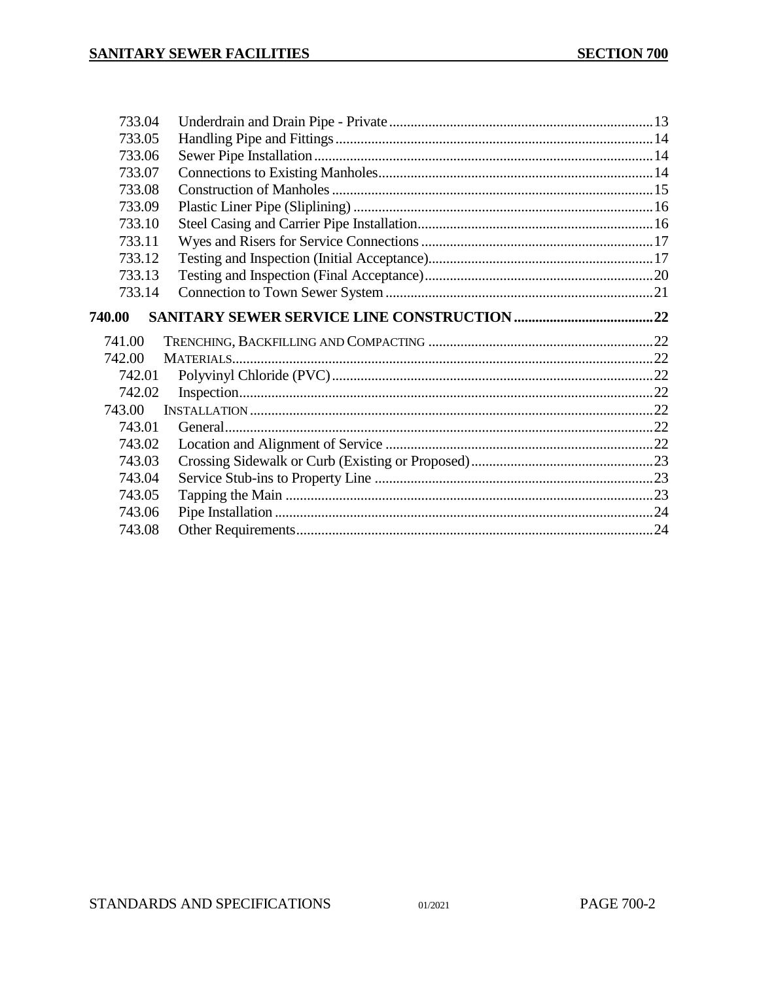| 733.04 |  |
|--------|--|
| 733.05 |  |
| 733.06 |  |
| 733.07 |  |
| 733.08 |  |
| 733.09 |  |
| 733.10 |  |
| 733.11 |  |
| 733.12 |  |
| 733.13 |  |
| 733.14 |  |
| 740.00 |  |
|        |  |
| 741.00 |  |
| 742.00 |  |
| 742.01 |  |
| 742.02 |  |
| 743.00 |  |
| 743.01 |  |
| 743.02 |  |
| 743.03 |  |
| 743.04 |  |
| 743.05 |  |
| 743.06 |  |
| 743.08 |  |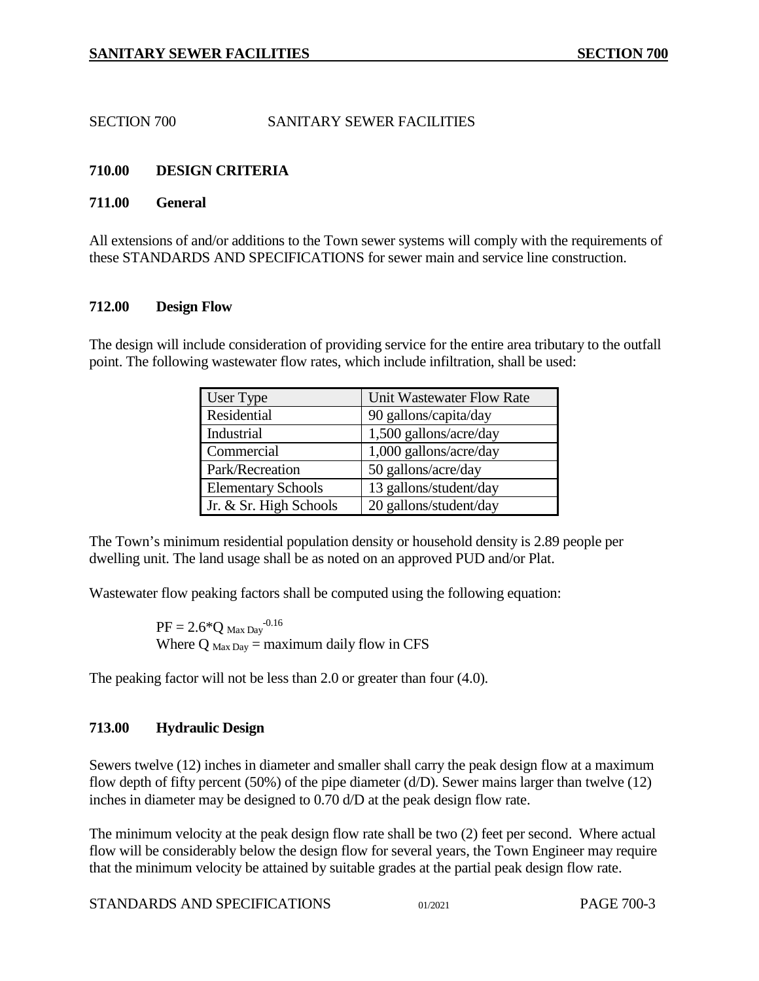SECTION 700 SANITARY SEWER FACILITIES

# <span id="page-2-0"></span>**710.00 DESIGN CRITERIA**

### <span id="page-2-1"></span>**711.00 General**

All extensions of and/or additions to the Town sewer systems will comply with the requirements of these STANDARDS AND SPECIFICATIONS for sewer main and service line construction.

### <span id="page-2-2"></span>**712.00 Design Flow**

The design will include consideration of providing service for the entire area tributary to the outfall point. The following wastewater flow rates, which include infiltration, shall be used:

| User Type                 | Unit Wastewater Flow Rate |
|---------------------------|---------------------------|
| Residential               | 90 gallons/capita/day     |
| Industrial                | 1,500 gallons/acre/day    |
| Commercial                | 1,000 gallons/acre/day    |
| Park/Recreation           | 50 gallons/acre/day       |
| <b>Elementary Schools</b> | 13 gallons/student/day    |
| Jr. & Sr. High Schools    | 20 gallons/student/day    |

The Town's minimum residential population density or household density is 2.89 people per dwelling unit. The land usage shall be as noted on an approved PUD and/or Plat.

Wastewater flow peaking factors shall be computed using the following equation:

 $PF = 2.6*Q$  Max Day<sup>-0.16</sup> Where  $Q_{\text{Max Day}} =$  maximum daily flow in CFS

The peaking factor will not be less than 2.0 or greater than four (4.0).

# <span id="page-2-3"></span>**713.00 Hydraulic Design**

Sewers twelve (12) inches in diameter and smaller shall carry the peak design flow at a maximum flow depth of fifty percent (50%) of the pipe diameter (d/D). Sewer mains larger than twelve (12) inches in diameter may be designed to 0.70 d/D at the peak design flow rate.

The minimum velocity at the peak design flow rate shall be two (2) feet per second. Where actual flow will be considerably below the design flow for several years, the Town Engineer may require that the minimum velocity be attained by suitable grades at the partial peak design flow rate.

```
STANDARDS AND SPECIFICATIONS 01/2021 PAGE 700-3
```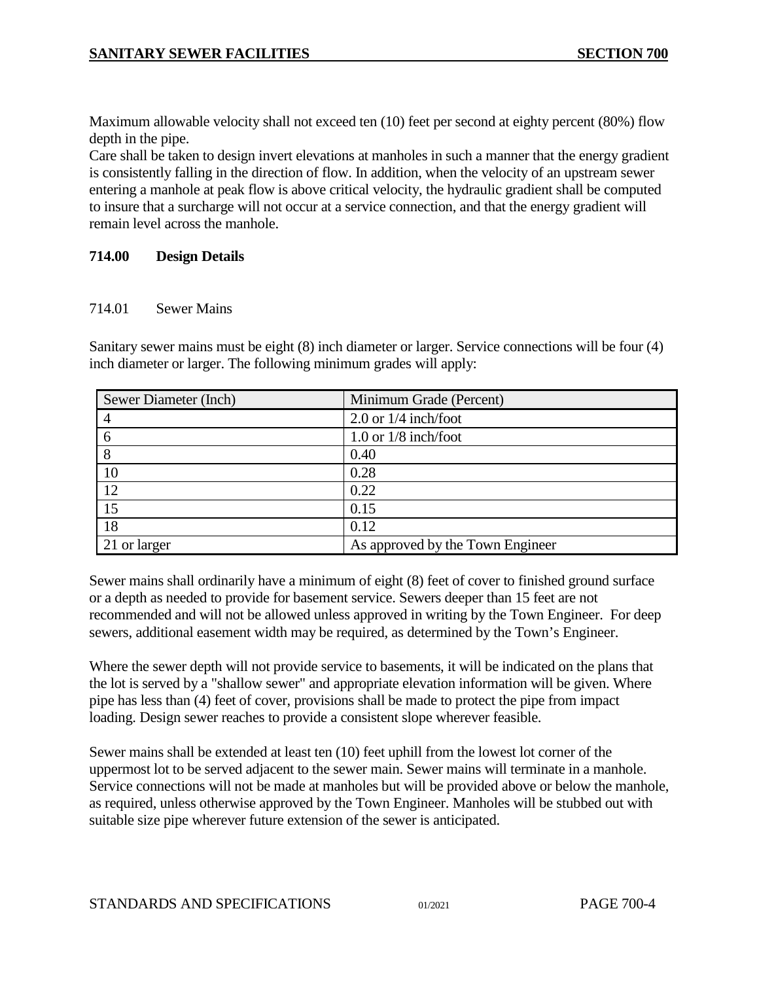Maximum allowable velocity shall not exceed ten (10) feet per second at eighty percent (80%) flow depth in the pipe.

Care shall be taken to design invert elevations at manholes in such a manner that the energy gradient is consistently falling in the direction of flow. In addition, when the velocity of an upstream sewer entering a manhole at peak flow is above critical velocity, the hydraulic gradient shall be computed to insure that a surcharge will not occur at a service connection, and that the energy gradient will remain level across the manhole.

# <span id="page-3-0"></span>**714.00 Design Details**

### <span id="page-3-1"></span>714.01 Sewer Mains

Sanitary sewer mains must be eight (8) inch diameter or larger. Service connections will be four (4) inch diameter or larger. The following minimum grades will apply:

| Sewer Diameter (Inch) | Minimum Grade (Percent)          |
|-----------------------|----------------------------------|
|                       | 2.0 or $1/4$ inch/foot           |
| 6                     | 1.0 or $1/8$ inch/foot           |
| 8                     | 0.40                             |
| 10                    | 0.28                             |
| 12                    | 0.22                             |
| 15                    | 0.15                             |
| 18                    | 0.12                             |
| 21 or larger          | As approved by the Town Engineer |

Sewer mains shall ordinarily have a minimum of eight (8) feet of cover to finished ground surface or a depth as needed to provide for basement service. Sewers deeper than 15 feet are not recommended and will not be allowed unless approved in writing by the Town Engineer. For deep sewers, additional easement width may be required, as determined by the Town's Engineer.

Where the sewer depth will not provide service to basements, it will be indicated on the plans that the lot is served by a "shallow sewer" and appropriate elevation information will be given. Where pipe has less than (4) feet of cover, provisions shall be made to protect the pipe from impact loading. Design sewer reaches to provide a consistent slope wherever feasible.

Sewer mains shall be extended at least ten (10) feet uphill from the lowest lot corner of the uppermost lot to be served adjacent to the sewer main. Sewer mains will terminate in a manhole. Service connections will not be made at manholes but will be provided above or below the manhole, as required, unless otherwise approved by the Town Engineer. Manholes will be stubbed out with suitable size pipe wherever future extension of the sewer is anticipated.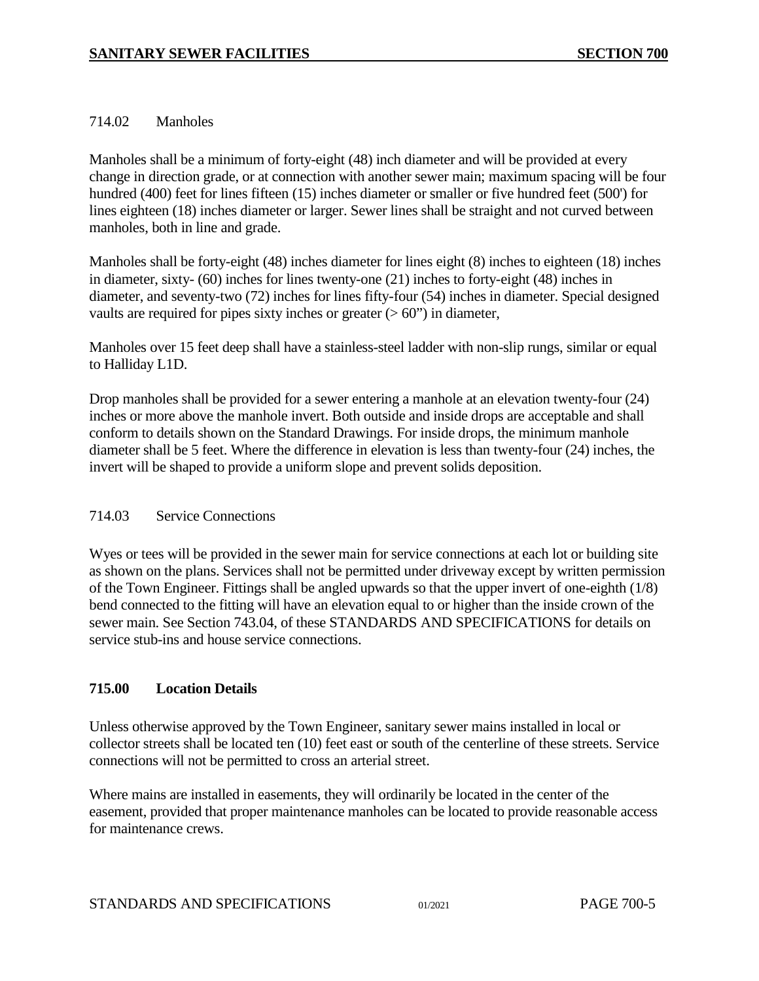### <span id="page-4-0"></span>714.02 Manholes

Manholes shall be a minimum of forty-eight (48) inch diameter and will be provided at every change in direction grade, or at connection with another sewer main; maximum spacing will be four hundred (400) feet for lines fifteen (15) inches diameter or smaller or five hundred feet (500') for lines eighteen (18) inches diameter or larger. Sewer lines shall be straight and not curved between manholes, both in line and grade.

Manholes shall be forty-eight (48) inches diameter for lines eight (8) inches to eighteen (18) inches in diameter, sixty- (60) inches for lines twenty-one (21) inches to forty-eight (48) inches in diameter, and seventy-two (72) inches for lines fifty-four (54) inches in diameter. Special designed vaults are required for pipes sixty inches or greater  $(> 60")$  in diameter,

Manholes over 15 feet deep shall have a stainless-steel ladder with non-slip rungs, similar or equal to Halliday L1D.

Drop manholes shall be provided for a sewer entering a manhole at an elevation twenty-four (24) inches or more above the manhole invert. Both outside and inside drops are acceptable and shall conform to details shown on the Standard Drawings. For inside drops, the minimum manhole diameter shall be 5 feet. Where the difference in elevation is less than twenty-four (24) inches, the invert will be shaped to provide a uniform slope and prevent solids deposition.

### <span id="page-4-1"></span>714.03 Service Connections

Wyes or tees will be provided in the sewer main for service connections at each lot or building site as shown on the plans. Services shall not be permitted under driveway except by written permission of the Town Engineer. Fittings shall be angled upwards so that the upper invert of one-eighth (1/8) bend connected to the fitting will have an elevation equal to or higher than the inside crown of the sewer main. See Section 743.04, of these STANDARDS AND SPECIFICATIONS for details on service stub-ins and house service connections.

# <span id="page-4-2"></span>**715.00 Location Details**

Unless otherwise approved by the Town Engineer, sanitary sewer mains installed in local or collector streets shall be located ten (10) feet east or south of the centerline of these streets. Service connections will not be permitted to cross an arterial street.

Where mains are installed in easements, they will ordinarily be located in the center of the easement, provided that proper maintenance manholes can be located to provide reasonable access for maintenance crews.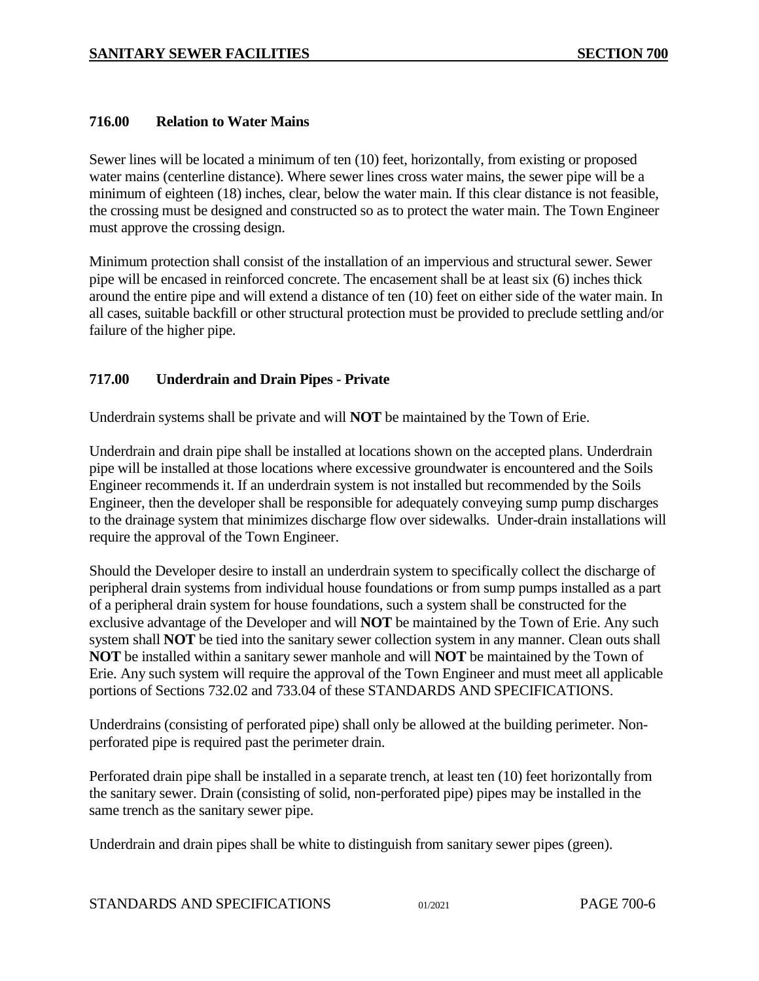### <span id="page-5-0"></span>**716.00 Relation to Water Mains**

Sewer lines will be located a minimum of ten (10) feet, horizontally, from existing or proposed water mains (centerline distance). Where sewer lines cross water mains, the sewer pipe will be a minimum of eighteen (18) inches, clear, below the water main. If this clear distance is not feasible, the crossing must be designed and constructed so as to protect the water main. The Town Engineer must approve the crossing design.

Minimum protection shall consist of the installation of an impervious and structural sewer. Sewer pipe will be encased in reinforced concrete. The encasement shall be at least six (6) inches thick around the entire pipe and will extend a distance of ten (10) feet on either side of the water main. In all cases, suitable backfill or other structural protection must be provided to preclude settling and/or failure of the higher pipe.

### <span id="page-5-1"></span>**717.00 Underdrain and Drain Pipes - Private**

Underdrain systems shall be private and will **NOT** be maintained by the Town of Erie.

Underdrain and drain pipe shall be installed at locations shown on the accepted plans. Underdrain pipe will be installed at those locations where excessive groundwater is encountered and the Soils Engineer recommends it. If an underdrain system is not installed but recommended by the Soils Engineer, then the developer shall be responsible for adequately conveying sump pump discharges to the drainage system that minimizes discharge flow over sidewalks. Under-drain installations will require the approval of the Town Engineer.

Should the Developer desire to install an underdrain system to specifically collect the discharge of peripheral drain systems from individual house foundations or from sump pumps installed as a part of a peripheral drain system for house foundations, such a system shall be constructed for the exclusive advantage of the Developer and will **NOT** be maintained by the Town of Erie. Any such system shall **NOT** be tied into the sanitary sewer collection system in any manner. Clean outs shall **NOT** be installed within a sanitary sewer manhole and will **NOT** be maintained by the Town of Erie. Any such system will require the approval of the Town Engineer and must meet all applicable portions of Sections 732.02 and 733.04 of these STANDARDS AND SPECIFICATIONS.

Underdrains (consisting of perforated pipe) shall only be allowed at the building perimeter. Nonperforated pipe is required past the perimeter drain.

Perforated drain pipe shall be installed in a separate trench, at least ten (10) feet horizontally from the sanitary sewer. Drain (consisting of solid, non-perforated pipe) pipes may be installed in the same trench as the sanitary sewer pipe.

Underdrain and drain pipes shall be white to distinguish from sanitary sewer pipes (green).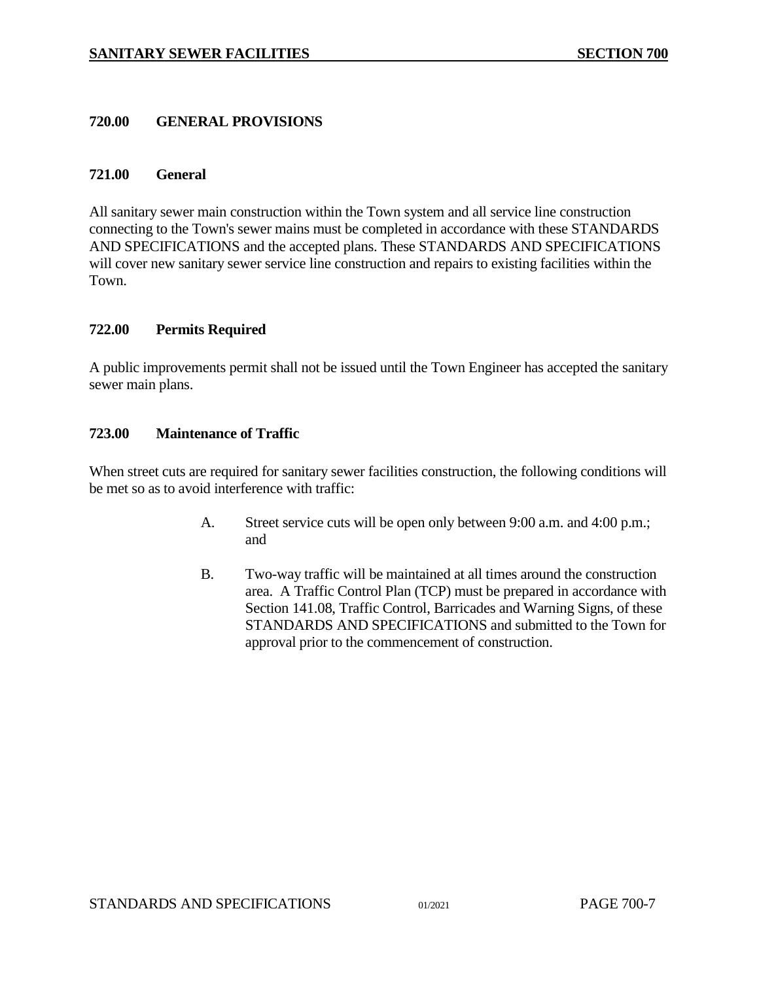#### <span id="page-6-0"></span>**720.00 GENERAL PROVISIONS**

#### <span id="page-6-1"></span>**721.00 General**

All sanitary sewer main construction within the Town system and all service line construction connecting to the Town's sewer mains must be completed in accordance with these STANDARDS AND SPECIFICATIONS and the accepted plans. These STANDARDS AND SPECIFICATIONS will cover new sanitary sewer service line construction and repairs to existing facilities within the Town.

#### <span id="page-6-2"></span>**722.00 Permits Required**

A public improvements permit shall not be issued until the Town Engineer has accepted the sanitary sewer main plans.

#### <span id="page-6-3"></span>**723.00 Maintenance of Traffic**

When street cuts are required for sanitary sewer facilities construction, the following conditions will be met so as to avoid interference with traffic:

- A. Street service cuts will be open only between 9:00 a.m. and 4:00 p.m.; and
- B. Two-way traffic will be maintained at all times around the construction area. A Traffic Control Plan (TCP) must be prepared in accordance with Section 141.08, Traffic Control, Barricades and Warning Signs, of these STANDARDS AND SPECIFICATIONS and submitted to the Town for approval prior to the commencement of construction.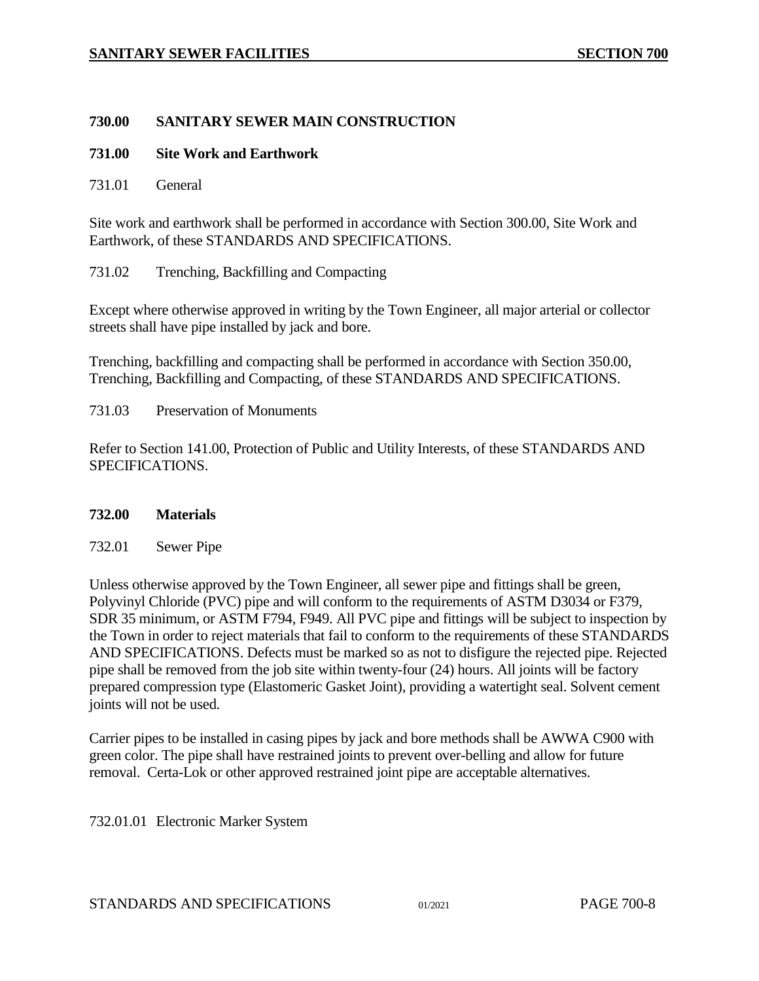### <span id="page-7-0"></span>**730.00 SANITARY SEWER MAIN CONSTRUCTION**

### <span id="page-7-1"></span>**731.00 Site Work and Earthwork**

<span id="page-7-2"></span>731.01 General

Site work and earthwork shall be performed in accordance with Section 300.00, Site Work and Earthwork, of these STANDARDS AND SPECIFICATIONS.

<span id="page-7-3"></span>731.02 Trenching, Backfilling and Compacting

Except where otherwise approved in writing by the Town Engineer, all major arterial or collector streets shall have pipe installed by jack and bore.

Trenching, backfilling and compacting shall be performed in accordance with Section 350.00, Trenching, Backfilling and Compacting, of these STANDARDS AND SPECIFICATIONS.

<span id="page-7-4"></span>731.03 Preservation of Monuments

Refer to Section 141.00, Protection of Public and Utility Interests, of these STANDARDS AND SPECIFICATIONS.

### <span id="page-7-5"></span>**732.00 Materials**

<span id="page-7-6"></span>732.01 Sewer Pipe

Unless otherwise approved by the Town Engineer, all sewer pipe and fittings shall be green, Polyvinyl Chloride (PVC) pipe and will conform to the requirements of ASTM D3034 or F379, SDR 35 minimum, or ASTM F794, F949. All PVC pipe and fittings will be subject to inspection by the Town in order to reject materials that fail to conform to the requirements of these STANDARDS AND SPECIFICATIONS. Defects must be marked so as not to disfigure the rejected pipe. Rejected pipe shall be removed from the job site within twenty-four (24) hours. All joints will be factory prepared compression type (Elastomeric Gasket Joint), providing a watertight seal. Solvent cement joints will not be used.

Carrier pipes to be installed in casing pipes by jack and bore methods shall be AWWA C900 with green color. The pipe shall have restrained joints to prevent over-belling and allow for future removal. Certa-Lok or other approved restrained joint pipe are acceptable alternatives.

<span id="page-7-7"></span>732.01.01 Electronic Marker System

STANDARDS AND SPECIFICATIONS 01/2021 PAGE 700-8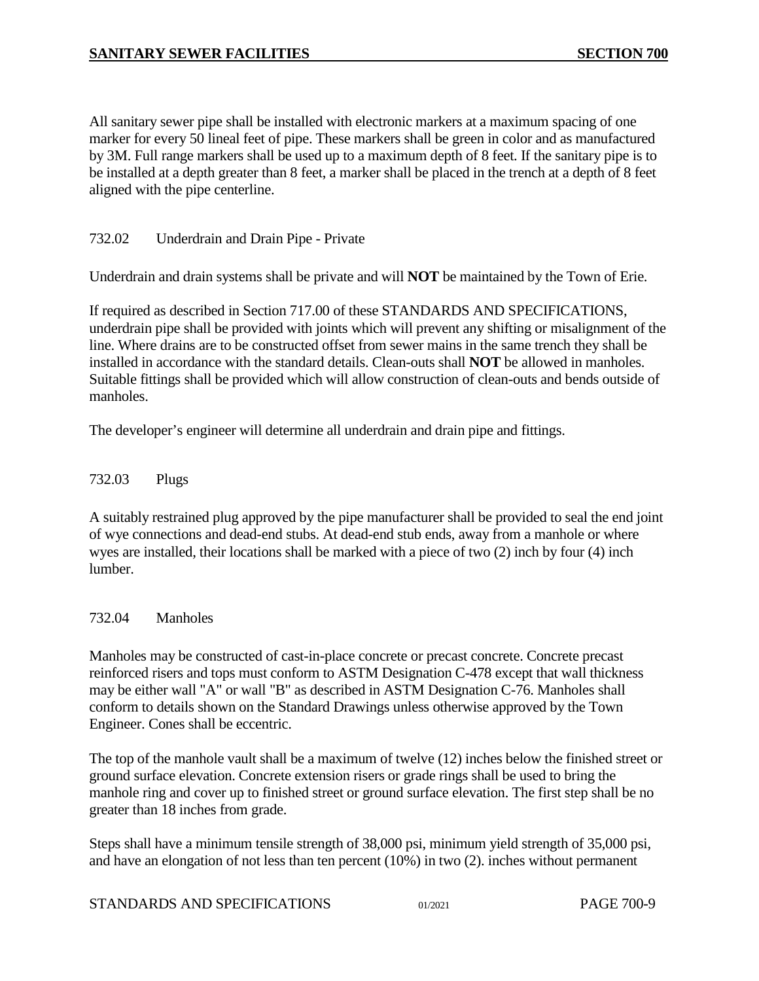All sanitary sewer pipe shall be installed with electronic markers at a maximum spacing of one marker for every 50 lineal feet of pipe. These markers shall be green in color and as manufactured by 3M. Full range markers shall be used up to a maximum depth of 8 feet. If the sanitary pipe is to be installed at a depth greater than 8 feet, a marker shall be placed in the trench at a depth of 8 feet aligned with the pipe centerline.

### <span id="page-8-0"></span>732.02 Underdrain and Drain Pipe - Private

Underdrain and drain systems shall be private and will **NOT** be maintained by the Town of Erie.

If required as described in Section 717.00 of these STANDARDS AND SPECIFICATIONS, underdrain pipe shall be provided with joints which will prevent any shifting or misalignment of the line. Where drains are to be constructed offset from sewer mains in the same trench they shall be installed in accordance with the standard details. Clean-outs shall **NOT** be allowed in manholes. Suitable fittings shall be provided which will allow construction of clean-outs and bends outside of manholes.

The developer's engineer will determine all underdrain and drain pipe and fittings.

### <span id="page-8-1"></span>732.03 Plugs

A suitably restrained plug approved by the pipe manufacturer shall be provided to seal the end joint of wye connections and dead-end stubs. At dead-end stub ends, away from a manhole or where wyes are installed, their locations shall be marked with a piece of two (2) inch by four (4) inch lumber.

### <span id="page-8-2"></span>732.04 Manholes

Manholes may be constructed of cast-in-place concrete or precast concrete. Concrete precast reinforced risers and tops must conform to ASTM Designation C-478 except that wall thickness may be either wall "A" or wall "B" as described in ASTM Designation C-76. Manholes shall conform to details shown on the Standard Drawings unless otherwise approved by the Town Engineer. Cones shall be eccentric.

The top of the manhole vault shall be a maximum of twelve (12) inches below the finished street or ground surface elevation. Concrete extension risers or grade rings shall be used to bring the manhole ring and cover up to finished street or ground surface elevation. The first step shall be no greater than 18 inches from grade.

Steps shall have a minimum tensile strength of 38,000 psi, minimum yield strength of 35,000 psi, and have an elongation of not less than ten percent (10%) in two (2). inches without permanent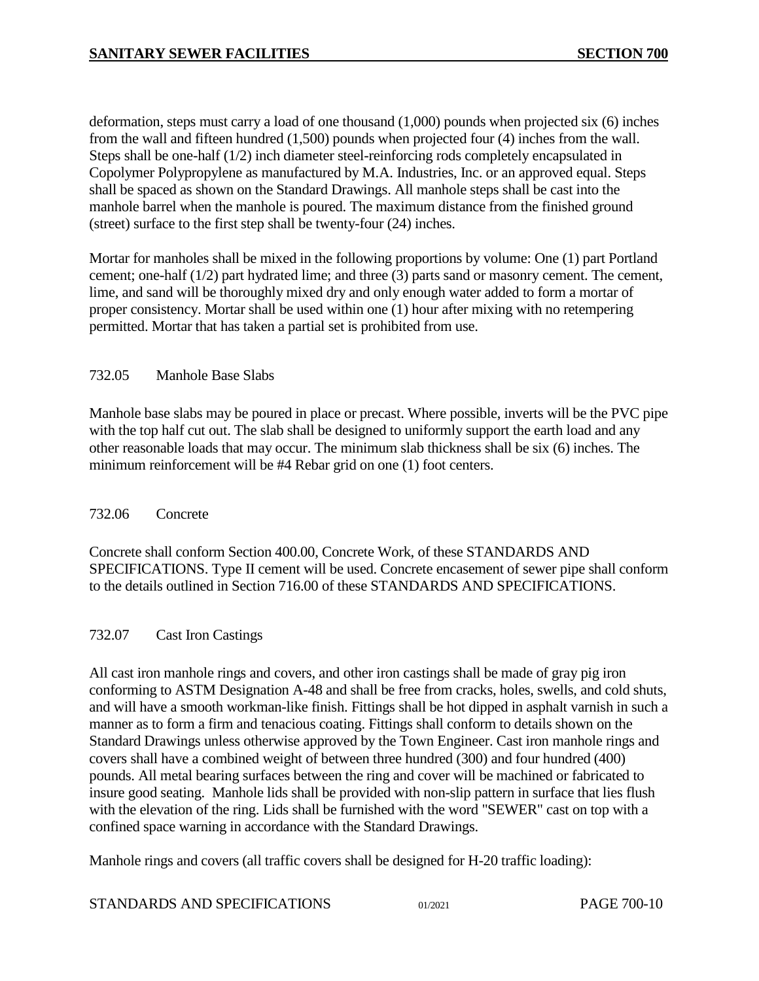deformation, steps must carry a load of one thousand (1,000) pounds when projected six (6) inches from the wall and fifteen hundred (1,500) pounds when projected four (4) inches from the wall. Steps shall be one-half (1/2) inch diameter steel-reinforcing rods completely encapsulated in Copolymer Polypropylene as manufactured by M.A. Industries, Inc. or an approved equal. Steps shall be spaced as shown on the Standard Drawings. All manhole steps shall be cast into the manhole barrel when the manhole is poured. The maximum distance from the finished ground (street) surface to the first step shall be twenty-four (24) inches.

Mortar for manholes shall be mixed in the following proportions by volume: One (1) part Portland cement; one-half (1/2) part hydrated lime; and three (3) parts sand or masonry cement. The cement, lime, and sand will be thoroughly mixed dry and only enough water added to form a mortar of proper consistency. Mortar shall be used within one (1) hour after mixing with no retempering permitted. Mortar that has taken a partial set is prohibited from use.

# <span id="page-9-0"></span>732.05 Manhole Base Slabs

Manhole base slabs may be poured in place or precast. Where possible, inverts will be the PVC pipe with the top half cut out. The slab shall be designed to uniformly support the earth load and any other reasonable loads that may occur. The minimum slab thickness shall be six (6) inches. The minimum reinforcement will be #4 Rebar grid on one (1) foot centers.

# <span id="page-9-1"></span>732.06 Concrete

Concrete shall conform Section 400.00, Concrete Work, of these STANDARDS AND SPECIFICATIONS. Type II cement will be used. Concrete encasement of sewer pipe shall conform to the details outlined in Section 716.00 of these STANDARDS AND SPECIFICATIONS.

### <span id="page-9-2"></span>732.07 Cast Iron Castings

All cast iron manhole rings and covers, and other iron castings shall be made of gray pig iron conforming to ASTM Designation A-48 and shall be free from cracks, holes, swells, and cold shuts, and will have a smooth workman-like finish. Fittings shall be hot dipped in asphalt varnish in such a manner as to form a firm and tenacious coating. Fittings shall conform to details shown on the Standard Drawings unless otherwise approved by the Town Engineer. Cast iron manhole rings and covers shall have a combined weight of between three hundred (300) and four hundred (400) pounds. All metal bearing surfaces between the ring and cover will be machined or fabricated to insure good seating. Manhole lids shall be provided with non-slip pattern in surface that lies flush with the elevation of the ring. Lids shall be furnished with the word "SEWER" cast on top with a confined space warning in accordance with the Standard Drawings.

Manhole rings and covers (all traffic covers shall be designed for H-20 traffic loading):

| STANDARDS AND SPECIFICATIONS |  |  |
|------------------------------|--|--|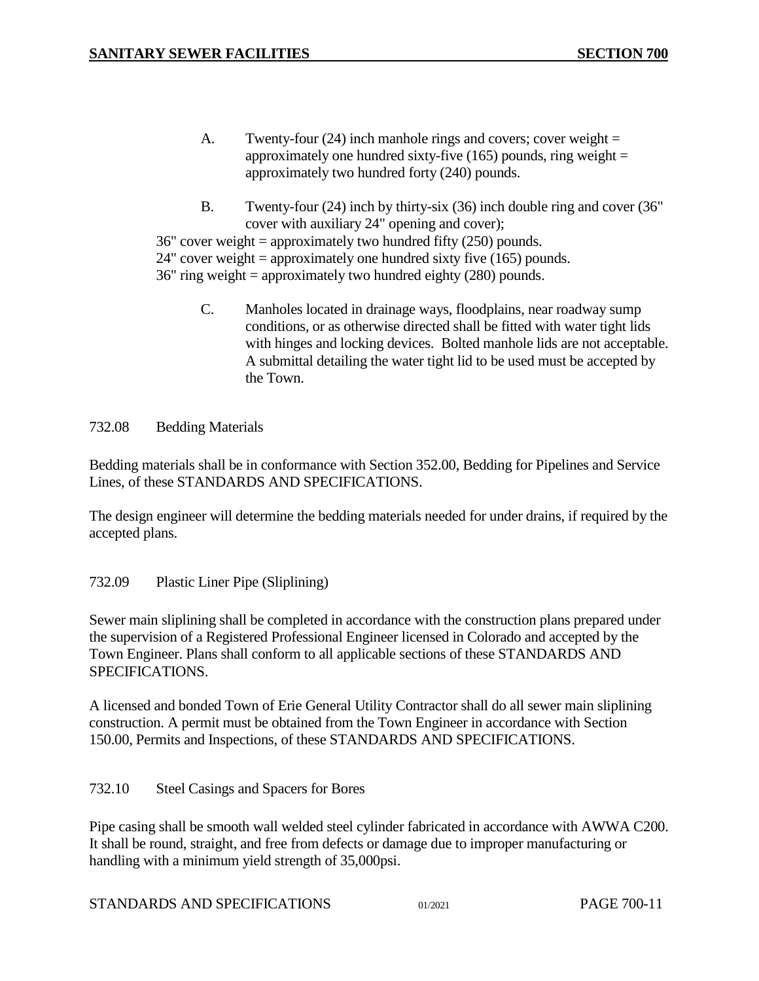- A. Twenty-four  $(24)$  inch manhole rings and covers; cover weight = approximately one hundred sixty-five  $(165)$  pounds, ring weight = approximately two hundred forty (240) pounds.
- B. Twenty-four (24) inch by thirty-six (36) inch double ring and cover (36" cover with auxiliary 24" opening and cover);

 $36"$  cover weight = approximately two hundred fifty  $(250)$  pounds.

24" cover weight = approximately one hundred sixty five (165) pounds.

36" ring weight = approximately two hundred eighty (280) pounds.

C. Manholes located in drainage ways, floodplains, near roadway sump conditions, or as otherwise directed shall be fitted with water tight lids with hinges and locking devices. Bolted manhole lids are not acceptable. A submittal detailing the water tight lid to be used must be accepted by the Town.

### <span id="page-10-0"></span>732.08 Bedding Materials

Bedding materials shall be in conformance with Section 352.00, Bedding for Pipelines and Service Lines, of these STANDARDS AND SPECIFICATIONS.

The design engineer will determine the bedding materials needed for under drains, if required by the accepted plans.

# <span id="page-10-1"></span>732.09 Plastic Liner Pipe (Sliplining)

Sewer main sliplining shall be completed in accordance with the construction plans prepared under the supervision of a Registered Professional Engineer licensed in Colorado and accepted by the Town Engineer. Plans shall conform to all applicable sections of these STANDARDS AND SPECIFICATIONS.

A licensed and bonded Town of Erie General Utility Contractor shall do all sewer main sliplining construction. A permit must be obtained from the Town Engineer in accordance with Section 150.00, Permits and Inspections, of these STANDARDS AND SPECIFICATIONS.

# <span id="page-10-2"></span>732.10 Steel Casings and Spacers for Bores

Pipe casing shall be smooth wall welded steel cylinder fabricated in accordance with AWWA C200. It shall be round, straight, and free from defects or damage due to improper manufacturing or handling with a minimum yield strength of 35,000psi.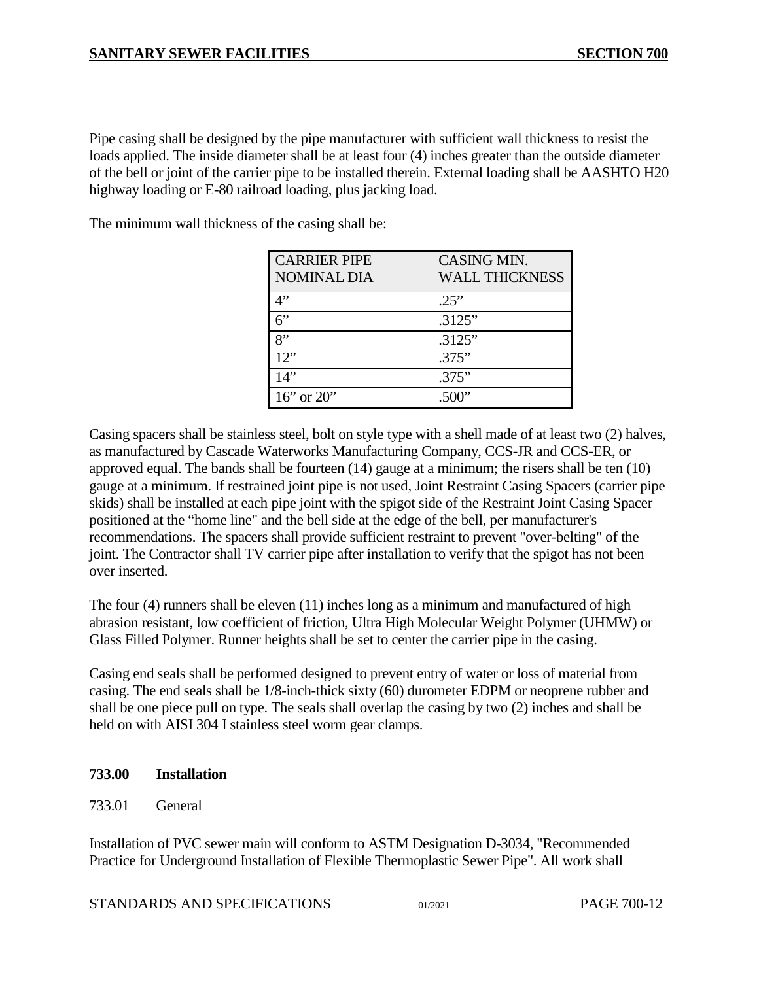Pipe casing shall be designed by the pipe manufacturer with sufficient wall thickness to resist the loads applied. The inside diameter shall be at least four (4) inches greater than the outside diameter of the bell or joint of the carrier pipe to be installed therein. External loading shall be AASHTO H20 highway loading or E-80 railroad loading, plus jacking load.

The minimum wall thickness of the casing shall be:

| <b>CARRIER PIPE</b> | CASING MIN.           |
|---------------------|-----------------------|
| <b>NOMINAL DIA</b>  | <b>WALL THICKNESS</b> |
| 4"                  | .25"                  |
| 6"                  | .3125"                |
| $\mathbf{R}$        | .3125"                |
| 12"                 | .375"                 |
| 14"                 | .375"                 |
| $16$ " or $20$ "    | .500 $"$              |

Casing spacers shall be stainless steel, bolt on style type with a shell made of at least two (2) halves, as manufactured by Cascade Waterworks Manufacturing Company, CCS-JR and CCS-ER, or approved equal. The bands shall be fourteen (14) gauge at a minimum; the risers shall be ten (10) gauge at a minimum. If restrained joint pipe is not used, Joint Restraint Casing Spacers (carrier pipe skids) shall be installed at each pipe joint with the spigot side of the Restraint Joint Casing Spacer positioned at the "home line" and the bell side at the edge of the bell, per manufacturer's recommendations. The spacers shall provide sufficient restraint to prevent "over-belting" of the joint. The Contractor shall TV carrier pipe after installation to verify that the spigot has not been over inserted.

The four (4) runners shall be eleven (11) inches long as a minimum and manufactured of high abrasion resistant, low coefficient of friction, Ultra High Molecular Weight Polymer (UHMW) or Glass Filled Polymer. Runner heights shall be set to center the carrier pipe in the casing.

Casing end seals shall be performed designed to prevent entry of water or loss of material from casing. The end seals shall be 1/8-inch-thick sixty (60) durometer EDPM or neoprene rubber and shall be one piece pull on type. The seals shall overlap the casing by two (2) inches and shall be held on with AISI 304 I stainless steel worm gear clamps.

# <span id="page-11-0"></span>**733.00 Installation**

<span id="page-11-1"></span>733.01 General

Installation of PVC sewer main will conform to ASTM Designation D-3034, "Recommended Practice for Underground Installation of Flexible Thermoplastic Sewer Pipe". All work shall

STANDARDS AND SPECIFICATIONS 01/2021 PAGE 700-12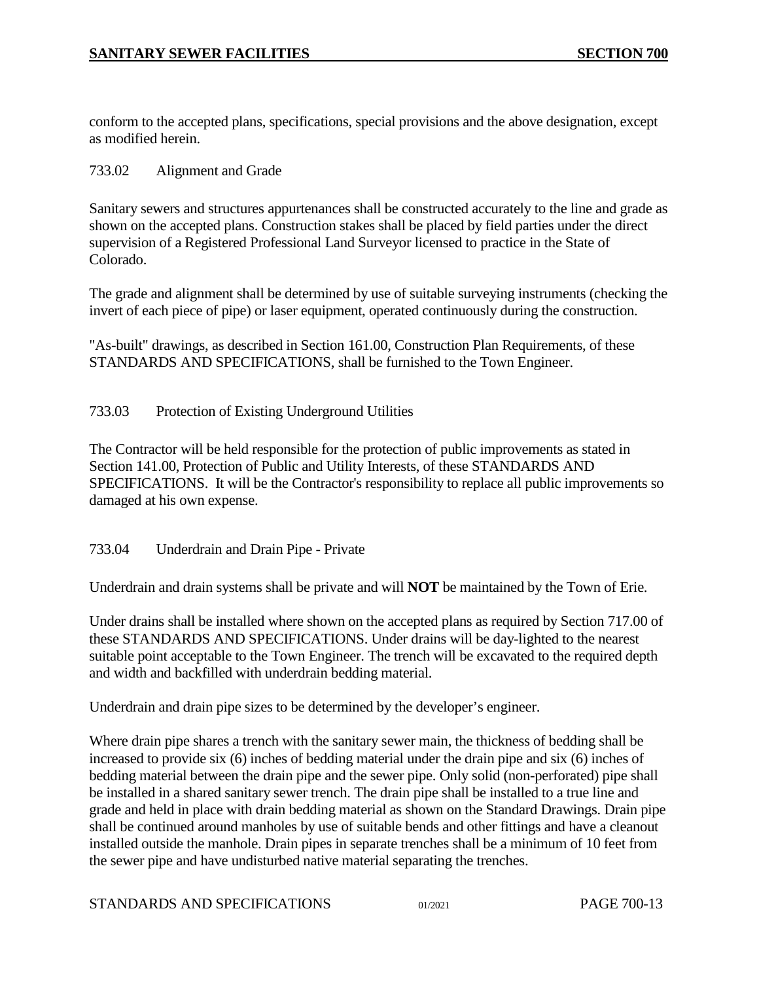conform to the accepted plans, specifications, special provisions and the above designation, except as modified herein.

### <span id="page-12-0"></span>733.02 Alignment and Grade

Sanitary sewers and structures appurtenances shall be constructed accurately to the line and grade as shown on the accepted plans. Construction stakes shall be placed by field parties under the direct supervision of a Registered Professional Land Surveyor licensed to practice in the State of Colorado.

The grade and alignment shall be determined by use of suitable surveying instruments (checking the invert of each piece of pipe) or laser equipment, operated continuously during the construction.

"As-built" drawings, as described in Section 161.00, Construction Plan Requirements, of these STANDARDS AND SPECIFICATIONS, shall be furnished to the Town Engineer.

### <span id="page-12-1"></span>733.03 Protection of Existing Underground Utilities

The Contractor will be held responsible for the protection of public improvements as stated in Section 141.00, Protection of Public and Utility Interests, of these STANDARDS AND SPECIFICATIONS. It will be the Contractor's responsibility to replace all public improvements so damaged at his own expense.

### <span id="page-12-2"></span>733.04 Underdrain and Drain Pipe - Private

Underdrain and drain systems shall be private and will **NOT** be maintained by the Town of Erie.

Under drains shall be installed where shown on the accepted plans as required by Section 717.00 of these STANDARDS AND SPECIFICATIONS. Under drains will be day-lighted to the nearest suitable point acceptable to the Town Engineer. The trench will be excavated to the required depth and width and backfilled with underdrain bedding material.

Underdrain and drain pipe sizes to be determined by the developer's engineer.

Where drain pipe shares a trench with the sanitary sewer main, the thickness of bedding shall be increased to provide six (6) inches of bedding material under the drain pipe and six (6) inches of bedding material between the drain pipe and the sewer pipe. Only solid (non-perforated) pipe shall be installed in a shared sanitary sewer trench. The drain pipe shall be installed to a true line and grade and held in place with drain bedding material as shown on the Standard Drawings. Drain pipe shall be continued around manholes by use of suitable bends and other fittings and have a cleanout installed outside the manhole. Drain pipes in separate trenches shall be a minimum of 10 feet from the sewer pipe and have undisturbed native material separating the trenches.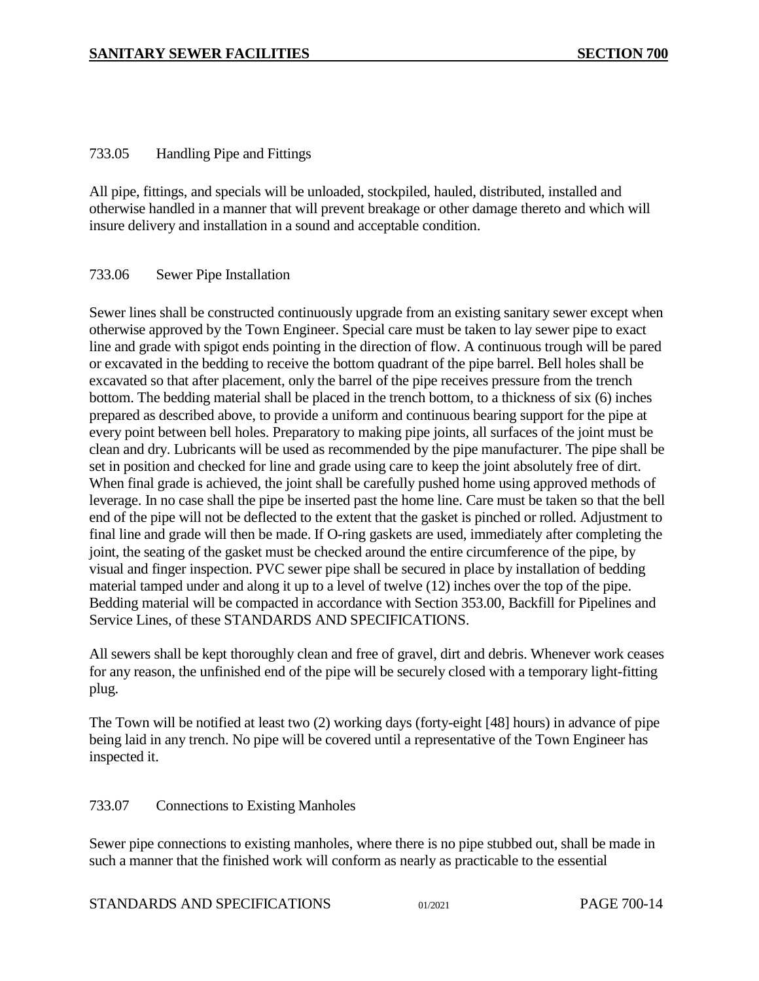### <span id="page-13-0"></span>733.05 Handling Pipe and Fittings

All pipe, fittings, and specials will be unloaded, stockpiled, hauled, distributed, installed and otherwise handled in a manner that will prevent breakage or other damage thereto and which will insure delivery and installation in a sound and acceptable condition.

### <span id="page-13-1"></span>733.06 Sewer Pipe Installation

Sewer lines shall be constructed continuously upgrade from an existing sanitary sewer except when otherwise approved by the Town Engineer. Special care must be taken to lay sewer pipe to exact line and grade with spigot ends pointing in the direction of flow. A continuous trough will be pared or excavated in the bedding to receive the bottom quadrant of the pipe barrel. Bell holes shall be excavated so that after placement, only the barrel of the pipe receives pressure from the trench bottom. The bedding material shall be placed in the trench bottom, to a thickness of six (6) inches prepared as described above, to provide a uniform and continuous bearing support for the pipe at every point between bell holes. Preparatory to making pipe joints, all surfaces of the joint must be clean and dry. Lubricants will be used as recommended by the pipe manufacturer. The pipe shall be set in position and checked for line and grade using care to keep the joint absolutely free of dirt. When final grade is achieved, the joint shall be carefully pushed home using approved methods of leverage. In no case shall the pipe be inserted past the home line. Care must be taken so that the bell end of the pipe will not be deflected to the extent that the gasket is pinched or rolled. Adjustment to final line and grade will then be made. If O-ring gaskets are used, immediately after completing the joint, the seating of the gasket must be checked around the entire circumference of the pipe, by visual and finger inspection. PVC sewer pipe shall be secured in place by installation of bedding material tamped under and along it up to a level of twelve (12) inches over the top of the pipe. Bedding material will be compacted in accordance with Section 353.00, Backfill for Pipelines and Service Lines, of these STANDARDS AND SPECIFICATIONS.

All sewers shall be kept thoroughly clean and free of gravel, dirt and debris. Whenever work ceases for any reason, the unfinished end of the pipe will be securely closed with a temporary light-fitting plug.

The Town will be notified at least two (2) working days (forty-eight [48] hours) in advance of pipe being laid in any trench. No pipe will be covered until a representative of the Town Engineer has inspected it.

# <span id="page-13-2"></span>733.07 Connections to Existing Manholes

Sewer pipe connections to existing manholes, where there is no pipe stubbed out, shall be made in such a manner that the finished work will conform as nearly as practicable to the essential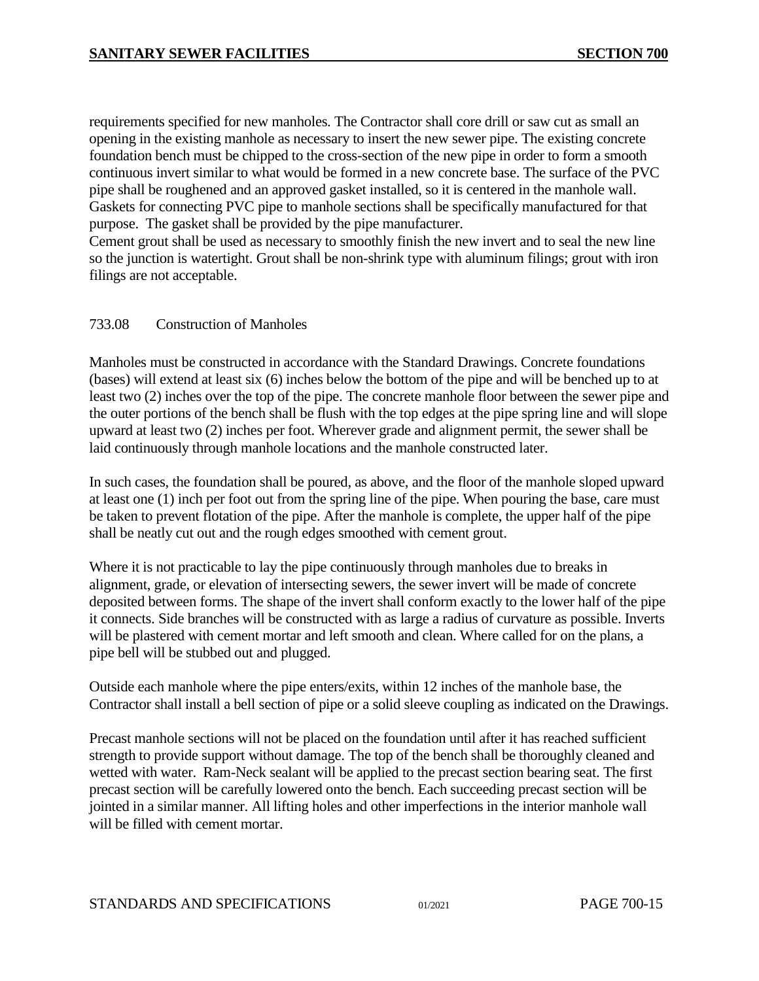requirements specified for new manholes. The Contractor shall core drill or saw cut as small an opening in the existing manhole as necessary to insert the new sewer pipe. The existing concrete foundation bench must be chipped to the cross-section of the new pipe in order to form a smooth continuous invert similar to what would be formed in a new concrete base. The surface of the PVC pipe shall be roughened and an approved gasket installed, so it is centered in the manhole wall. Gaskets for connecting PVC pipe to manhole sections shall be specifically manufactured for that purpose. The gasket shall be provided by the pipe manufacturer.

Cement grout shall be used as necessary to smoothly finish the new invert and to seal the new line so the junction is watertight. Grout shall be non-shrink type with aluminum filings; grout with iron filings are not acceptable.

### <span id="page-14-0"></span>733.08 Construction of Manholes

Manholes must be constructed in accordance with the Standard Drawings. Concrete foundations (bases) will extend at least six (6) inches below the bottom of the pipe and will be benched up to at least two (2) inches over the top of the pipe. The concrete manhole floor between the sewer pipe and the outer portions of the bench shall be flush with the top edges at the pipe spring line and will slope upward at least two (2) inches per foot. Wherever grade and alignment permit, the sewer shall be laid continuously through manhole locations and the manhole constructed later.

In such cases, the foundation shall be poured, as above, and the floor of the manhole sloped upward at least one (1) inch per foot out from the spring line of the pipe. When pouring the base, care must be taken to prevent flotation of the pipe. After the manhole is complete, the upper half of the pipe shall be neatly cut out and the rough edges smoothed with cement grout.

Where it is not practicable to lay the pipe continuously through manholes due to breaks in alignment, grade, or elevation of intersecting sewers, the sewer invert will be made of concrete deposited between forms. The shape of the invert shall conform exactly to the lower half of the pipe it connects. Side branches will be constructed with as large a radius of curvature as possible. Inverts will be plastered with cement mortar and left smooth and clean. Where called for on the plans, a pipe bell will be stubbed out and plugged.

Outside each manhole where the pipe enters/exits, within 12 inches of the manhole base, the Contractor shall install a bell section of pipe or a solid sleeve coupling as indicated on the Drawings.

Precast manhole sections will not be placed on the foundation until after it has reached sufficient strength to provide support without damage. The top of the bench shall be thoroughly cleaned and wetted with water. Ram-Neck sealant will be applied to the precast section bearing seat. The first precast section will be carefully lowered onto the bench. Each succeeding precast section will be jointed in a similar manner. All lifting holes and other imperfections in the interior manhole wall will be filled with cement mortar.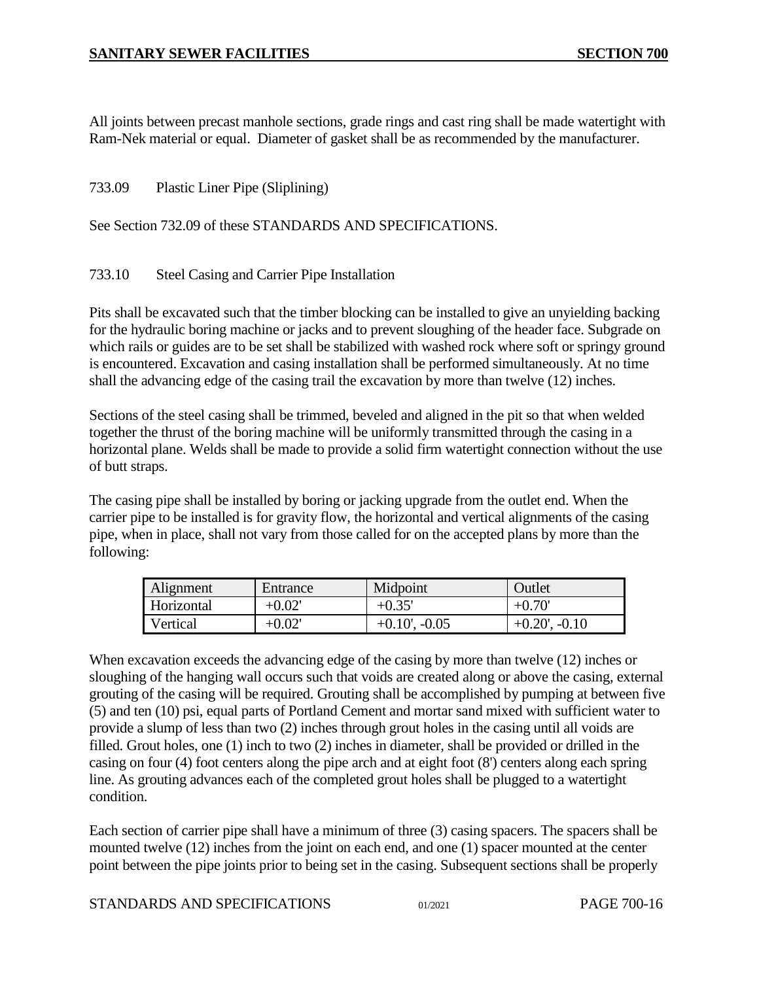All joints between precast manhole sections, grade rings and cast ring shall be made watertight with Ram-Nek material or equal. Diameter of gasket shall be as recommended by the manufacturer.

### <span id="page-15-0"></span>733.09 Plastic Liner Pipe (Sliplining)

### See Section 732.09 of these STANDARDS AND SPECIFICATIONS.

### <span id="page-15-1"></span>733.10 Steel Casing and Carrier Pipe Installation

Pits shall be excavated such that the timber blocking can be installed to give an unyielding backing for the hydraulic boring machine or jacks and to prevent sloughing of the header face. Subgrade on which rails or guides are to be set shall be stabilized with washed rock where soft or springy ground is encountered. Excavation and casing installation shall be performed simultaneously. At no time shall the advancing edge of the casing trail the excavation by more than twelve (12) inches.

Sections of the steel casing shall be trimmed, beveled and aligned in the pit so that when welded together the thrust of the boring machine will be uniformly transmitted through the casing in a horizontal plane. Welds shall be made to provide a solid firm watertight connection without the use of butt straps.

The casing pipe shall be installed by boring or jacking upgrade from the outlet end. When the carrier pipe to be installed is for gravity flow, the horizontal and vertical alignments of the casing pipe, when in place, shall not vary from those called for on the accepted plans by more than the following:

| Alignment  | Entrance  | Midpoint           | Outlet             |
|------------|-----------|--------------------|--------------------|
| Horizontal | $+0.02$ ' | $+0.35'$           | $+0.70'$           |
| Vertical   | $+0.02$ ' | $+0.10$ ', $-0.05$ | $+0.20$ ', $-0.10$ |

When excavation exceeds the advancing edge of the casing by more than twelve (12) inches or sloughing of the hanging wall occurs such that voids are created along or above the casing, external grouting of the casing will be required. Grouting shall be accomplished by pumping at between five (5) and ten (10) psi, equal parts of Portland Cement and mortar sand mixed with sufficient water to provide a slump of less than two (2) inches through grout holes in the casing until all voids are filled. Grout holes, one (1) inch to two (2) inches in diameter, shall be provided or drilled in the casing on four (4) foot centers along the pipe arch and at eight foot (8') centers along each spring line. As grouting advances each of the completed grout holes shall be plugged to a watertight condition.

Each section of carrier pipe shall have a minimum of three (3) casing spacers. The spacers shall be mounted twelve (12) inches from the joint on each end, and one (1) spacer mounted at the center point between the pipe joints prior to being set in the casing. Subsequent sections shall be properly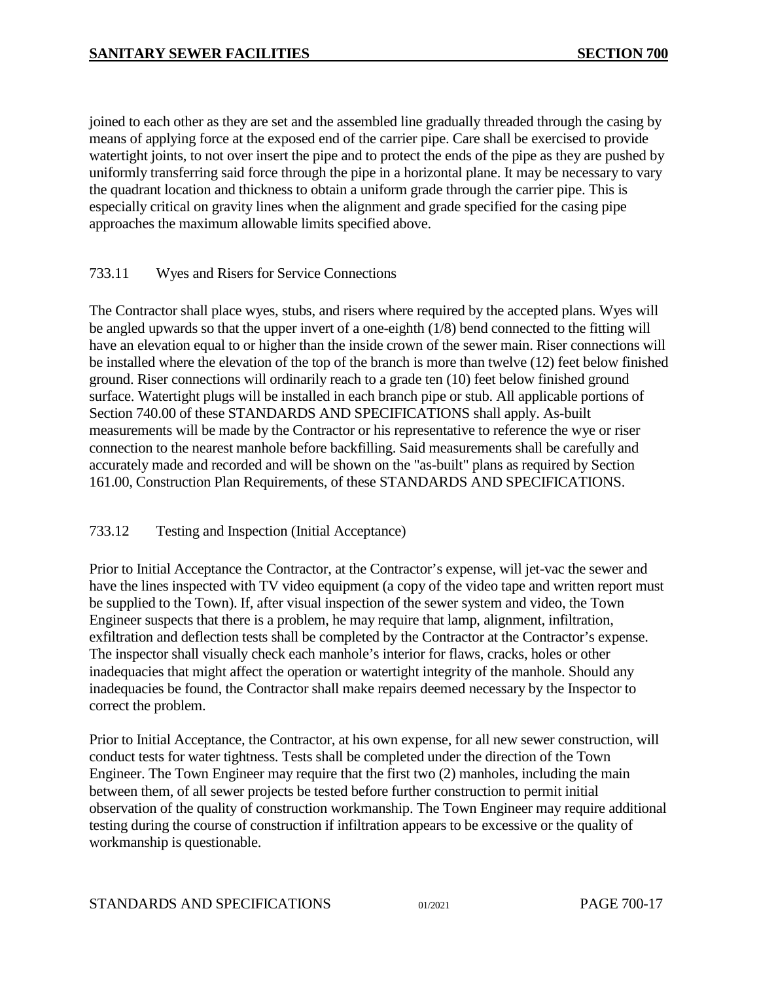joined to each other as they are set and the assembled line gradually threaded through the casing by means of applying force at the exposed end of the carrier pipe. Care shall be exercised to provide watertight joints, to not over insert the pipe and to protect the ends of the pipe as they are pushed by uniformly transferring said force through the pipe in a horizontal plane. It may be necessary to vary the quadrant location and thickness to obtain a uniform grade through the carrier pipe. This is especially critical on gravity lines when the alignment and grade specified for the casing pipe approaches the maximum allowable limits specified above.

# <span id="page-16-0"></span>733.11 Wyes and Risers for Service Connections

The Contractor shall place wyes, stubs, and risers where required by the accepted plans. Wyes will be angled upwards so that the upper invert of a one-eighth (1/8) bend connected to the fitting will have an elevation equal to or higher than the inside crown of the sewer main. Riser connections will be installed where the elevation of the top of the branch is more than twelve (12) feet below finished ground. Riser connections will ordinarily reach to a grade ten (10) feet below finished ground surface. Watertight plugs will be installed in each branch pipe or stub. All applicable portions of Section 740.00 of these STANDARDS AND SPECIFICATIONS shall apply. As-built measurements will be made by the Contractor or his representative to reference the wye or riser connection to the nearest manhole before backfilling. Said measurements shall be carefully and accurately made and recorded and will be shown on the "as-built" plans as required by Section 161.00, Construction Plan Requirements, of these STANDARDS AND SPECIFICATIONS.

# <span id="page-16-1"></span>733.12 Testing and Inspection (Initial Acceptance)

Prior to Initial Acceptance the Contractor, at the Contractor's expense, will jet-vac the sewer and have the lines inspected with TV video equipment (a copy of the video tape and written report must be supplied to the Town). If, after visual inspection of the sewer system and video, the Town Engineer suspects that there is a problem, he may require that lamp, alignment, infiltration, exfiltration and deflection tests shall be completed by the Contractor at the Contractor's expense. The inspector shall visually check each manhole's interior for flaws, cracks, holes or other inadequacies that might affect the operation or watertight integrity of the manhole. Should any inadequacies be found, the Contractor shall make repairs deemed necessary by the Inspector to correct the problem.

Prior to Initial Acceptance, the Contractor, at his own expense, for all new sewer construction, will conduct tests for water tightness. Tests shall be completed under the direction of the Town Engineer. The Town Engineer may require that the first two (2) manholes, including the main between them, of all sewer projects be tested before further construction to permit initial observation of the quality of construction workmanship. The Town Engineer may require additional testing during the course of construction if infiltration appears to be excessive or the quality of workmanship is questionable.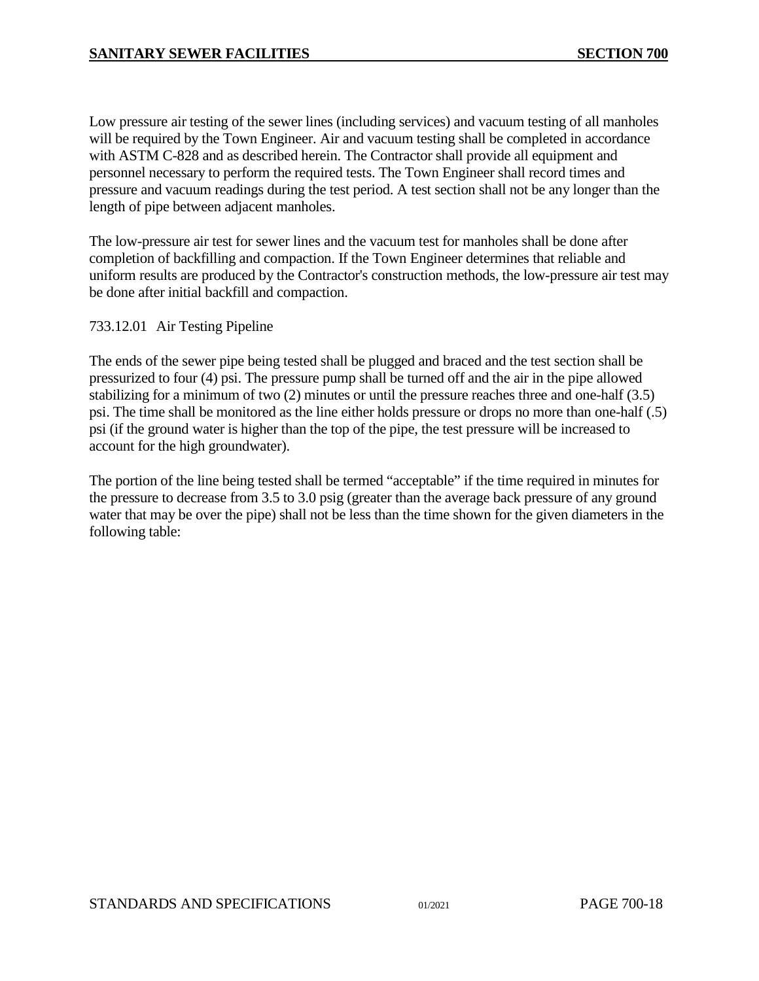Low pressure air testing of the sewer lines (including services) and vacuum testing of all manholes will be required by the Town Engineer. Air and vacuum testing shall be completed in accordance with ASTM C-828 and as described herein. The Contractor shall provide all equipment and personnel necessary to perform the required tests. The Town Engineer shall record times and pressure and vacuum readings during the test period. A test section shall not be any longer than the length of pipe between adjacent manholes.

The low-pressure air test for sewer lines and the vacuum test for manholes shall be done after completion of backfilling and compaction. If the Town Engineer determines that reliable and uniform results are produced by the Contractor's construction methods, the low-pressure air test may be done after initial backfill and compaction.

### 733.12.01 Air Testing Pipeline

The ends of the sewer pipe being tested shall be plugged and braced and the test section shall be pressurized to four (4) psi. The pressure pump shall be turned off and the air in the pipe allowed stabilizing for a minimum of two (2) minutes or until the pressure reaches three and one-half (3.5) psi. The time shall be monitored as the line either holds pressure or drops no more than one-half (.5) psi (if the ground water is higher than the top of the pipe, the test pressure will be increased to account for the high groundwater).

The portion of the line being tested shall be termed "acceptable" if the time required in minutes for the pressure to decrease from 3.5 to 3.0 psig (greater than the average back pressure of any ground water that may be over the pipe) shall not be less than the time shown for the given diameters in the following table: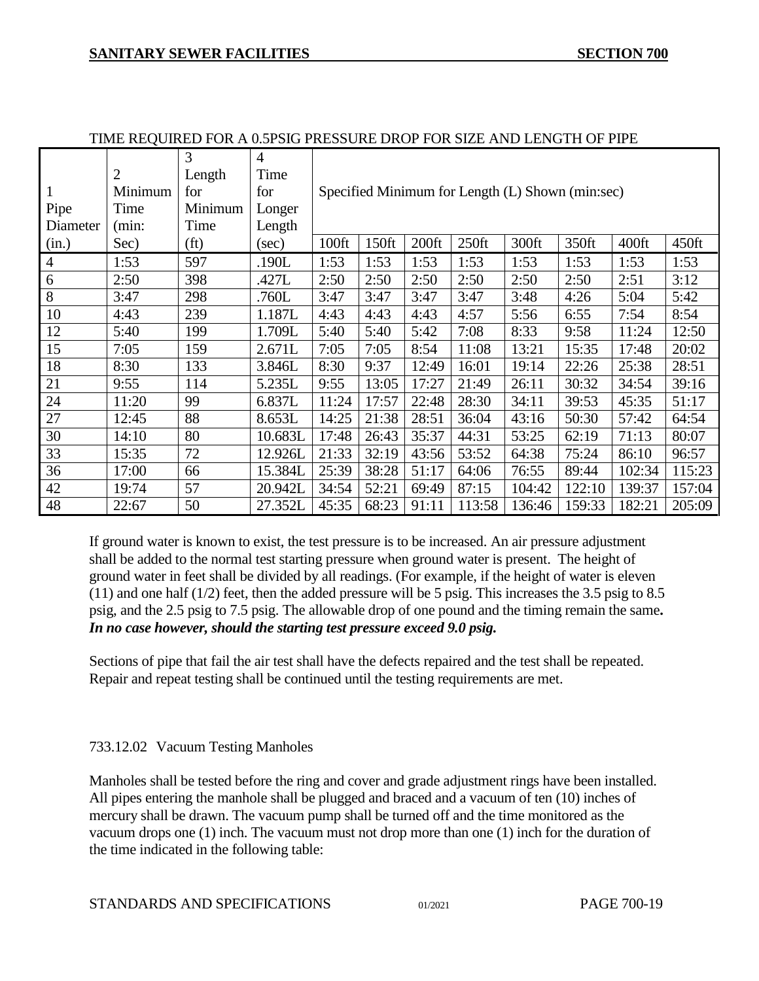|                |                | 3                 | $\overline{4}$ |                                                  |                                                        |                   |          |        |        |        |        |
|----------------|----------------|-------------------|----------------|--------------------------------------------------|--------------------------------------------------------|-------------------|----------|--------|--------|--------|--------|
|                | $\overline{2}$ | Length            | Time           |                                                  |                                                        |                   |          |        |        |        |        |
|                | Minimum        | for               | for            | Specified Minimum for Length (L) Shown (min:sec) |                                                        |                   |          |        |        |        |        |
| Pipe           | Time           | Minimum           | Longer         |                                                  |                                                        |                   |          |        |        |        |        |
| Diameter       | (min:          | Time              | Length         |                                                  |                                                        |                   |          |        |        |        |        |
| (in.)          | Sec)           | (f <sub>t</sub> ) | (sec)          | 100ft                                            | 150ft                                                  | 200 <sup>ft</sup> | $250$ ft | 300ft  | 350ft  | 400ft  | 450ft  |
| $\overline{4}$ | 1:53           | 597               | .190L          | 1:53                                             | 1:53                                                   | 1:53              | 1:53     | 1:53   | 1:53   | 1:53   | 1:53   |
| 6              | 2:50           | 398               | .427L          | 2:50                                             | 2:50                                                   | 2:50              | 2:50     | 2:50   | 2:50   | 2:51   | 3:12   |
| 8              | 3:47           | 298               | .760L          | 3:47                                             | 3:47                                                   | 3:47              | 3:47     | 3:48   | 4:26   | 5:04   | 5:42   |
| 10             | 4:43           | 239               | 1.187L         | 4:43                                             | 4:43                                                   | 4:43              | 4:57     | 5:56   | 6:55   | 7:54   | 8:54   |
| 12             | 5:40           | 199               | 1.709L         | 5:40                                             | 5:40<br>7:08<br>9:58<br>5:42<br>8:33<br>11:24<br>12:50 |                   |          |        |        |        |        |
| 15             | 7:05           | 159               | 2.671L         | 7:05                                             | 7:05                                                   | 8:54              | 11:08    | 13:21  | 15:35  | 17:48  | 20:02  |
| 18             | 8:30           | 133               | 3.846L         | 8:30                                             | 9:37                                                   | 12:49             | 16:01    | 19:14  | 22:26  | 25:38  | 28:51  |
| 21             | 9:55           | 114               | 5.235L         | 9:55                                             | 13:05                                                  | 17:27             | 21:49    | 26:11  | 30:32  | 34:54  | 39:16  |
| 24             | 11:20          | 99                | 6.837L         | 11:24                                            | 17:57                                                  | 22:48             | 28:30    | 34:11  | 39:53  | 45:35  | 51:17  |
| 27             | 12:45          | 88                | 8.653L         | 14:25                                            | 21:38                                                  | 28:51             | 36:04    | 43:16  | 50:30  | 57:42  | 64:54  |
| 30             | 14:10          | 80                | 10.683L        | 17:48                                            | 26:43                                                  | 35:37             | 44:31    | 53:25  | 62:19  | 71:13  | 80:07  |
| 33             | 15:35          | 72                | 12.926L        | 21:33                                            | 32:19                                                  | 43:56             | 53:52    | 64:38  | 75:24  | 86:10  | 96:57  |
| 36             | 17:00          | 66                | 15.384L        | 25:39                                            | 38:28                                                  | 51:17             | 64:06    | 76:55  | 89:44  | 102:34 | 115:23 |
| 42             | 19:74          | 57                | 20.942L        | 34:54                                            | 52:21                                                  | 69:49             | 87:15    | 104:42 | 122:10 | 139:37 | 157:04 |
| 48             | 22:67          | 50                | 27.352L        | 45:35                                            | 68:23                                                  | 91:11             | 113:58   | 136:46 | 159:33 | 182:21 | 205:09 |

#### TIME REQUIRED FOR A 0.5PSIG PRESSURE DROP FOR SIZE AND LENGTH OF PIPE

If ground water is known to exist, the test pressure is to be increased. An air pressure adjustment shall be added to the normal test starting pressure when ground water is present. The height of ground water in feet shall be divided by all readings. (For example, if the height of water is eleven (11) and one half (1/2) feet, then the added pressure will be 5 psig. This increases the 3.5 psig to 8.5 psig, and the 2.5 psig to 7.5 psig. The allowable drop of one pound and the timing remain the same**.**  *In no case however, should the starting test pressure exceed 9.0 psig.*

Sections of pipe that fail the air test shall have the defects repaired and the test shall be repeated. Repair and repeat testing shall be continued until the testing requirements are met.

# 733.12.02 Vacuum Testing Manholes

Manholes shall be tested before the ring and cover and grade adjustment rings have been installed. All pipes entering the manhole shall be plugged and braced and a vacuum of ten (10) inches of mercury shall be drawn. The vacuum pump shall be turned off and the time monitored as the vacuum drops one (1) inch. The vacuum must not drop more than one (1) inch for the duration of the time indicated in the following table: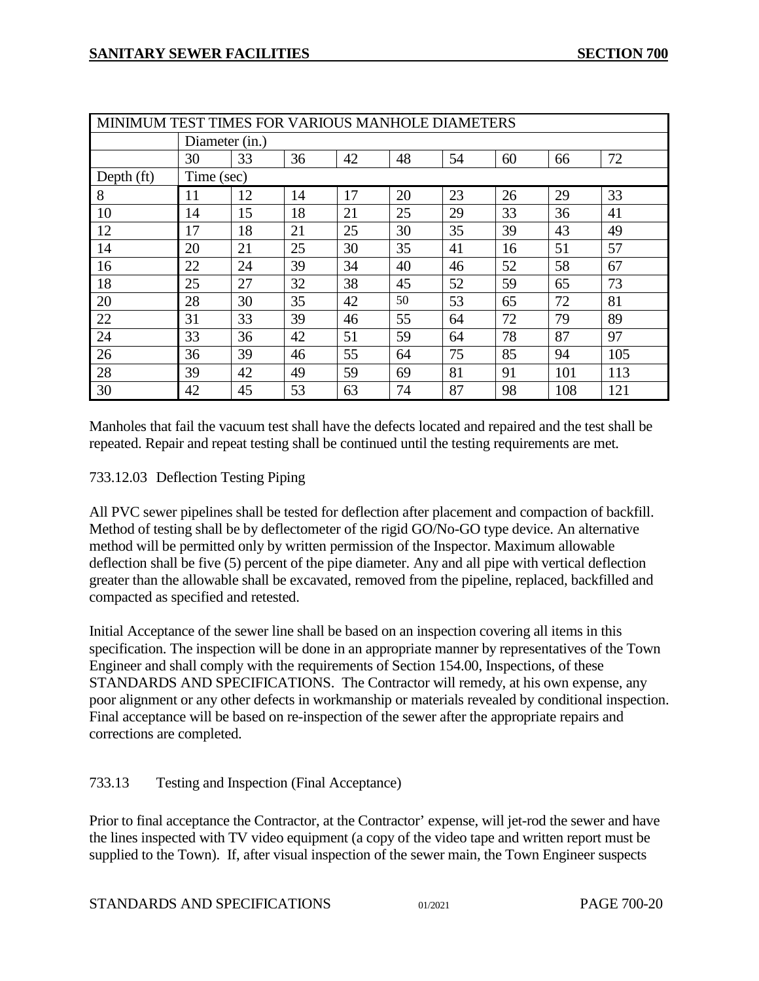| MINIMUM TEST TIMES FOR VARIOUS MANHOLE DIAMETERS |                |    |    |    |    |    |    |     |     |
|--------------------------------------------------|----------------|----|----|----|----|----|----|-----|-----|
|                                                  | Diameter (in.) |    |    |    |    |    |    |     |     |
|                                                  | 30             | 33 | 36 | 42 | 48 | 54 | 60 | 66  | 72  |
| Depth $(ft)$                                     | Time (sec)     |    |    |    |    |    |    |     |     |
| 8                                                | 11             | 12 | 14 | 17 | 20 | 23 | 26 | 29  | 33  |
| 10                                               | 14             | 15 | 18 | 21 | 25 | 29 | 33 | 36  | 41  |
| 12                                               | 17             | 18 | 21 | 25 | 30 | 35 | 39 | 43  | 49  |
| 14                                               | 20             | 21 | 25 | 30 | 35 | 41 | 16 | 51  | 57  |
| 16                                               | 22             | 24 | 39 | 34 | 40 | 46 | 52 | 58  | 67  |
| 18                                               | 25             | 27 | 32 | 38 | 45 | 52 | 59 | 65  | 73  |
| 20                                               | 28             | 30 | 35 | 42 | 50 | 53 | 65 | 72  | 81  |
| 22                                               | 31             | 33 | 39 | 46 | 55 | 64 | 72 | 79  | 89  |
| 24                                               | 33             | 36 | 42 | 51 | 59 | 64 | 78 | 87  | 97  |
| 26                                               | 36             | 39 | 46 | 55 | 64 | 75 | 85 | 94  | 105 |
| 28                                               | 39             | 42 | 49 | 59 | 69 | 81 | 91 | 101 | 113 |
| 30                                               | 42             | 45 | 53 | 63 | 74 | 87 | 98 | 108 | 121 |

Manholes that fail the vacuum test shall have the defects located and repaired and the test shall be repeated. Repair and repeat testing shall be continued until the testing requirements are met.

# 733.12.03 Deflection Testing Piping

All PVC sewer pipelines shall be tested for deflection after placement and compaction of backfill. Method of testing shall be by deflectometer of the rigid GO/No-GO type device. An alternative method will be permitted only by written permission of the Inspector. Maximum allowable deflection shall be five (5) percent of the pipe diameter. Any and all pipe with vertical deflection greater than the allowable shall be excavated, removed from the pipeline, replaced, backfilled and compacted as specified and retested.

Initial Acceptance of the sewer line shall be based on an inspection covering all items in this specification. The inspection will be done in an appropriate manner by representatives of the Town Engineer and shall comply with the requirements of Section 154.00, Inspections, of these STANDARDS AND SPECIFICATIONS. The Contractor will remedy, at his own expense, any poor alignment or any other defects in workmanship or materials revealed by conditional inspection. Final acceptance will be based on re-inspection of the sewer after the appropriate repairs and corrections are completed.

# <span id="page-19-0"></span>733.13 Testing and Inspection (Final Acceptance)

Prior to final acceptance the Contractor, at the Contractor' expense, will jet-rod the sewer and have the lines inspected with TV video equipment (a copy of the video tape and written report must be supplied to the Town). If, after visual inspection of the sewer main, the Town Engineer suspects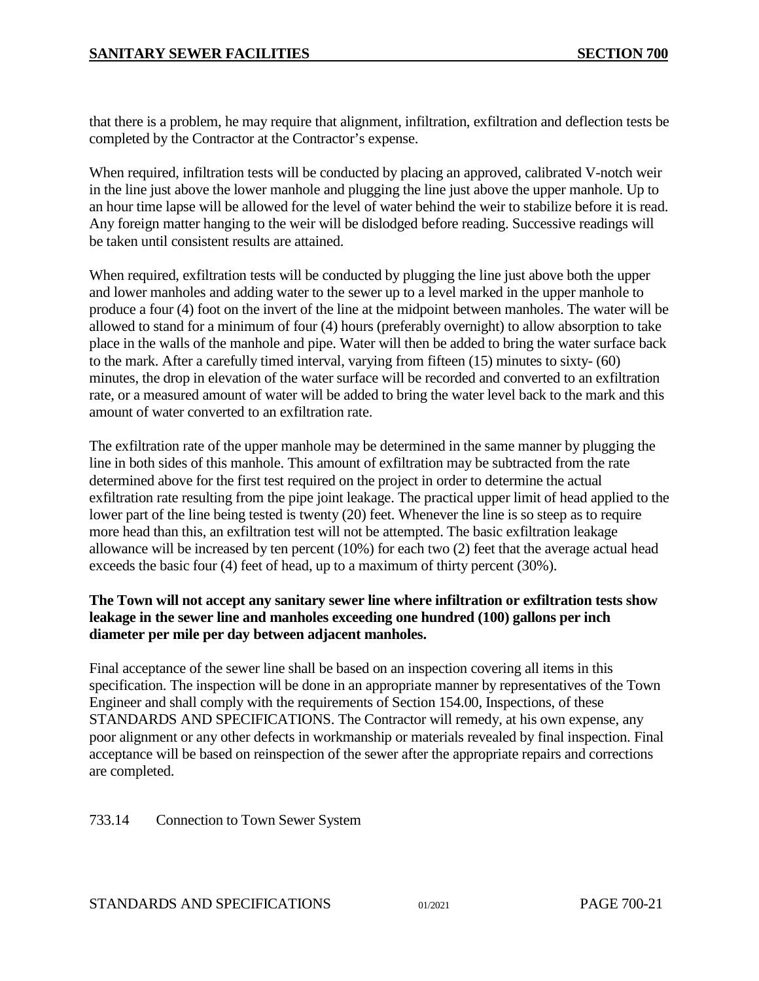that there is a problem, he may require that alignment, infiltration, exfiltration and deflection tests be completed by the Contractor at the Contractor's expense.

When required, infiltration tests will be conducted by placing an approved, calibrated V-notch weir in the line just above the lower manhole and plugging the line just above the upper manhole. Up to an hour time lapse will be allowed for the level of water behind the weir to stabilize before it is read. Any foreign matter hanging to the weir will be dislodged before reading. Successive readings will be taken until consistent results are attained.

When required, exfiltration tests will be conducted by plugging the line just above both the upper and lower manholes and adding water to the sewer up to a level marked in the upper manhole to produce a four (4) foot on the invert of the line at the midpoint between manholes. The water will be allowed to stand for a minimum of four (4) hours (preferably overnight) to allow absorption to take place in the walls of the manhole and pipe. Water will then be added to bring the water surface back to the mark. After a carefully timed interval, varying from fifteen (15) minutes to sixty- (60) minutes, the drop in elevation of the water surface will be recorded and converted to an exfiltration rate, or a measured amount of water will be added to bring the water level back to the mark and this amount of water converted to an exfiltration rate.

The exfiltration rate of the upper manhole may be determined in the same manner by plugging the line in both sides of this manhole. This amount of exfiltration may be subtracted from the rate determined above for the first test required on the project in order to determine the actual exfiltration rate resulting from the pipe joint leakage. The practical upper limit of head applied to the lower part of the line being tested is twenty (20) feet. Whenever the line is so steep as to require more head than this, an exfiltration test will not be attempted. The basic exfiltration leakage allowance will be increased by ten percent (10%) for each two (2) feet that the average actual head exceeds the basic four (4) feet of head, up to a maximum of thirty percent (30%).

### **The Town will not accept any sanitary sewer line where infiltration or exfiltration tests show leakage in the sewer line and manholes exceeding one hundred (100) gallons per inch diameter per mile per day between adjacent manholes.**

Final acceptance of the sewer line shall be based on an inspection covering all items in this specification. The inspection will be done in an appropriate manner by representatives of the Town Engineer and shall comply with the requirements of Section 154.00, Inspections, of these STANDARDS AND SPECIFICATIONS. The Contractor will remedy, at his own expense, any poor alignment or any other defects in workmanship or materials revealed by final inspection. Final acceptance will be based on reinspection of the sewer after the appropriate repairs and corrections are completed.

<span id="page-20-0"></span>733.14 Connection to Town Sewer System

STANDARDS AND SPECIFICATIONS  $01/2021$  PAGE 700-21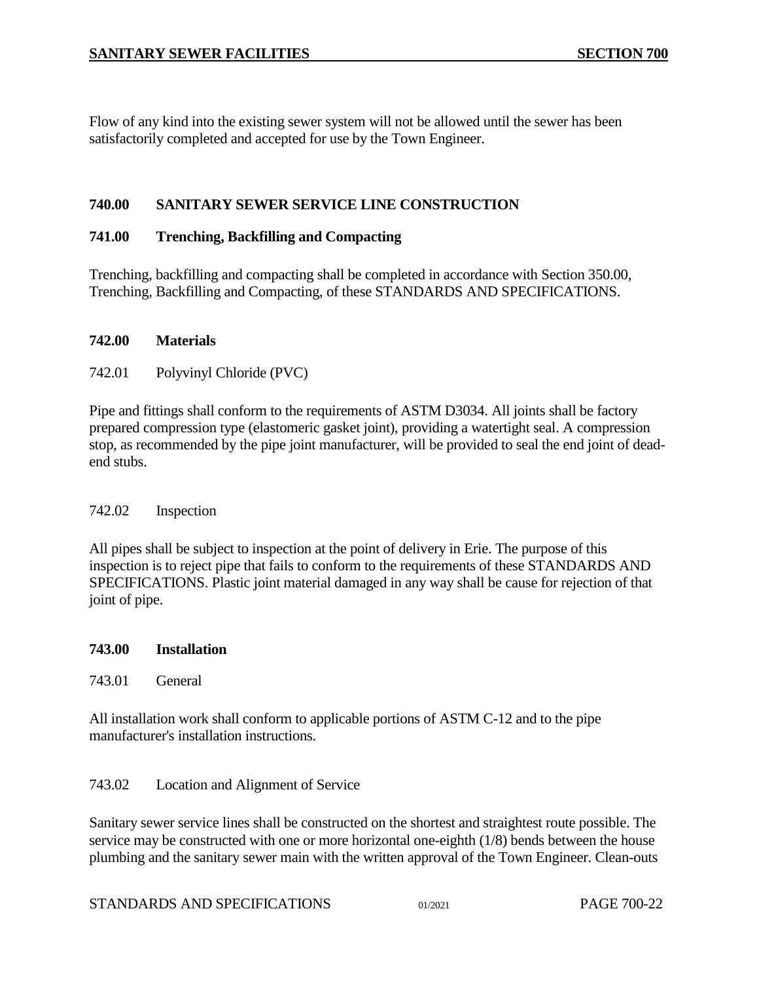Flow of any kind into the existing sewer system will not be allowed until the sewer has been satisfactorily completed and accepted for use by the Town Engineer.

### <span id="page-21-0"></span>**740.00 SANITARY SEWER SERVICE LINE CONSTRUCTION**

### <span id="page-21-1"></span>**741.00 Trenching, Backfilling and Compacting**

Trenching, backfilling and compacting shall be completed in accordance with Section 350.00, Trenching, Backfilling and Compacting, of these STANDARDS AND SPECIFICATIONS.

#### <span id="page-21-2"></span>**742.00 Materials**

### <span id="page-21-3"></span>742.01 Polyvinyl Chloride (PVC)

Pipe and fittings shall conform to the requirements of ASTM D3034. All joints shall be factory prepared compression type (elastomeric gasket joint), providing a watertight seal. A compression stop, as recommended by the pipe joint manufacturer, will be provided to seal the end joint of deadend stubs.

### <span id="page-21-4"></span>742.02 Inspection

All pipes shall be subject to inspection at the point of delivery in Erie. The purpose of this inspection is to reject pipe that fails to conform to the requirements of these STANDARDS AND SPECIFICATIONS. Plastic joint material damaged in any way shall be cause for rejection of that joint of pipe.

#### <span id="page-21-5"></span>**743.00 Installation**

### <span id="page-21-6"></span>743.01 General

All installation work shall conform to applicable portions of ASTM C-12 and to the pipe manufacturer's installation instructions.

### <span id="page-21-7"></span>743.02 Location and Alignment of Service

Sanitary sewer service lines shall be constructed on the shortest and straightest route possible. The service may be constructed with one or more horizontal one-eighth (1/8) bends between the house plumbing and the sanitary sewer main with the written approval of the Town Engineer. Clean-outs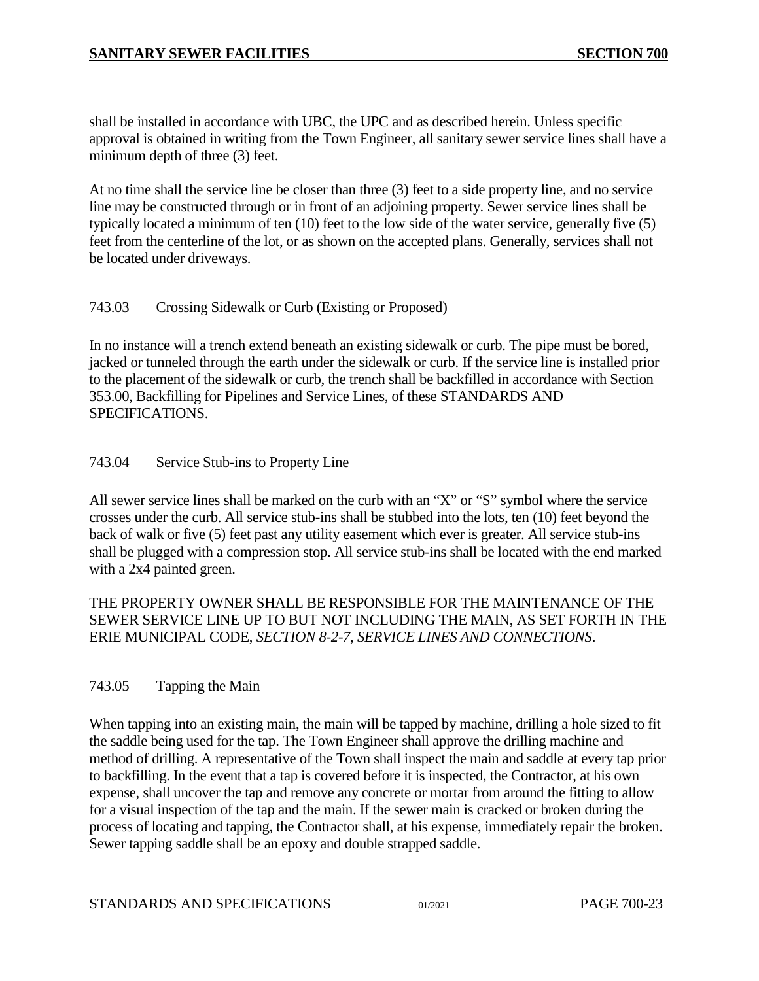shall be installed in accordance with UBC, the UPC and as described herein. Unless specific approval is obtained in writing from the Town Engineer, all sanitary sewer service lines shall have a minimum depth of three (3) feet.

At no time shall the service line be closer than three (3) feet to a side property line, and no service line may be constructed through or in front of an adjoining property. Sewer service lines shall be typically located a minimum of ten (10) feet to the low side of the water service, generally five (5) feet from the centerline of the lot, or as shown on the accepted plans. Generally, services shall not be located under driveways.

# <span id="page-22-0"></span>743.03 Crossing Sidewalk or Curb (Existing or Proposed)

In no instance will a trench extend beneath an existing sidewalk or curb. The pipe must be bored, jacked or tunneled through the earth under the sidewalk or curb. If the service line is installed prior to the placement of the sidewalk or curb, the trench shall be backfilled in accordance with Section 353.00, Backfilling for Pipelines and Service Lines, of these STANDARDS AND SPECIFICATIONS.

# <span id="page-22-1"></span>743.04 Service Stub-ins to Property Line

All sewer service lines shall be marked on the curb with an "X" or "S" symbol where the service crosses under the curb. All service stub-ins shall be stubbed into the lots, ten (10) feet beyond the back of walk or five (5) feet past any utility easement which ever is greater. All service stub-ins shall be plugged with a compression stop. All service stub-ins shall be located with the end marked with a 2x4 painted green.

THE PROPERTY OWNER SHALL BE RESPONSIBLE FOR THE MAINTENANCE OF THE SEWER SERVICE LINE UP TO BUT NOT INCLUDING THE MAIN, AS SET FORTH IN THE ERIE MUNICIPAL CODE, *SECTION 8-2-7*, *SERVICE LINES AND CONNECTIONS*.

# <span id="page-22-2"></span>743.05 Tapping the Main

When tapping into an existing main, the main will be tapped by machine, drilling a hole sized to fit the saddle being used for the tap. The Town Engineer shall approve the drilling machine and method of drilling. A representative of the Town shall inspect the main and saddle at every tap prior to backfilling. In the event that a tap is covered before it is inspected, the Contractor, at his own expense, shall uncover the tap and remove any concrete or mortar from around the fitting to allow for a visual inspection of the tap and the main. If the sewer main is cracked or broken during the process of locating and tapping, the Contractor shall, at his expense, immediately repair the broken. Sewer tapping saddle shall be an epoxy and double strapped saddle.